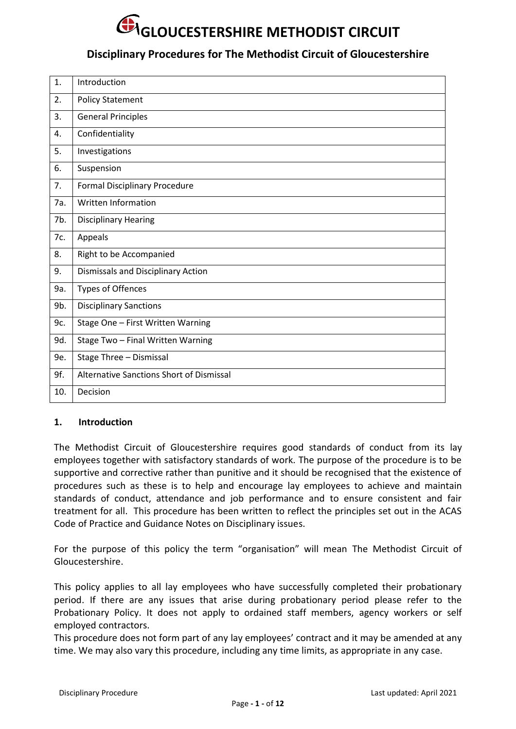### **Disciplinary Procedures for The Methodist Circuit of Gloucestershire**

| 1.  | Introduction                             |
|-----|------------------------------------------|
| 2.  | <b>Policy Statement</b>                  |
| 3.  | <b>General Principles</b>                |
| 4.  | Confidentiality                          |
| 5.  | Investigations                           |
| 6.  | Suspension                               |
| 7.  | <b>Formal Disciplinary Procedure</b>     |
| 7a. | Written Information                      |
| 7b. | <b>Disciplinary Hearing</b>              |
| 7c. | Appeals                                  |
| 8.  | Right to be Accompanied                  |
| 9.  | Dismissals and Disciplinary Action       |
| 9a. | <b>Types of Offences</b>                 |
| 9b. | <b>Disciplinary Sanctions</b>            |
| 9c. | Stage One - First Written Warning        |
| 9d. | Stage Two - Final Written Warning        |
| 9e. | Stage Three - Dismissal                  |
| 9f. | Alternative Sanctions Short of Dismissal |
| 10. | Decision                                 |

#### **1. Introduction**

The Methodist Circuit of Gloucestershire requires good standards of conduct from its lay employees together with satisfactory standards of work. The purpose of the procedure is to be supportive and corrective rather than punitive and it should be recognised that the existence of procedures such as these is to help and encourage lay employees to achieve and maintain standards of conduct, attendance and job performance and to ensure consistent and fair treatment for all. This procedure has been written to reflect the principles set out in the ACAS Code of Practice and Guidance Notes on Disciplinary issues.

For the purpose of this policy the term "organisation" will mean The Methodist Circuit of Gloucestershire.

This policy applies to all lay employees who have successfully completed their probationary period. If there are any issues that arise during probationary period please refer to the Probationary Policy. It does not apply to ordained staff members, agency workers or self employed contractors.

This procedure does not form part of any lay employees' contract and it may be amended at any time. We may also vary this procedure, including any time limits, as appropriate in any case.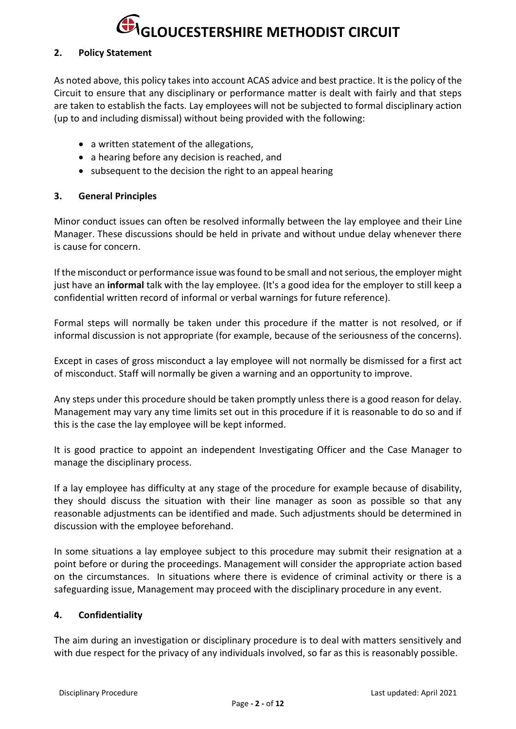#### **2. Policy Statement**

As noted above, this policy takes into account ACAS advice and best practice. It is the policy of the Circuit to ensure that any disciplinary or performance matter is dealt with fairly and that steps are taken to establish the facts. Lay employees will not be subjected to formal disciplinary action (up to and including dismissal) without being provided with the following:

- a written statement of the allegations,
- a hearing before any decision is reached, and
- subsequent to the decision the right to an appeal hearing

#### **3. General Principles**

Minor conduct issues can often be resolved informally between the lay employee and their Line Manager. These discussions should be held in private and without undue delay whenever there is cause for concern.

If the misconduct or performance issue was found to be small and not serious, the employer might just have an **informal** talk with the lay employee. (It's a good idea for the employer to still keep a confidential written record of informal or verbal warnings for future reference).

Formal steps will normally be taken under this procedure if the matter is not resolved, or if informal discussion is not appropriate (for example, because of the seriousness of the concerns).

Except in cases of gross misconduct a lay employee will not normally be dismissed for a first act of misconduct. Staff will normally be given a warning and an opportunity to improve.

Any steps under this procedure should be taken promptly unless there is a good reason for delay. Management may vary any time limits set out in this procedure if it is reasonable to do so and if this is the case the lay employee will be kept informed.

It is good practice to appoint an independent Investigating Officer and the Case Manager to manage the disciplinary process.

If a lay employee has difficulty at any stage of the procedure for example because of disability, they should discuss the situation with their line manager as soon as possible so that any reasonable adjustments can be identified and made. Such adjustments should be determined in discussion with the employee beforehand.

In some situations a lay employee subject to this procedure may submit their resignation at a point before or during the proceedings. Management will consider the appropriate action based on the circumstances. In situations where there is evidence of criminal activity or there is a safeguarding issue, Management may proceed with the disciplinary procedure in any event.

#### **4. Confidentiality**

The aim during an investigation or disciplinary procedure is to deal with matters sensitively and with due respect for the privacy of any individuals involved, so far as this is reasonably possible.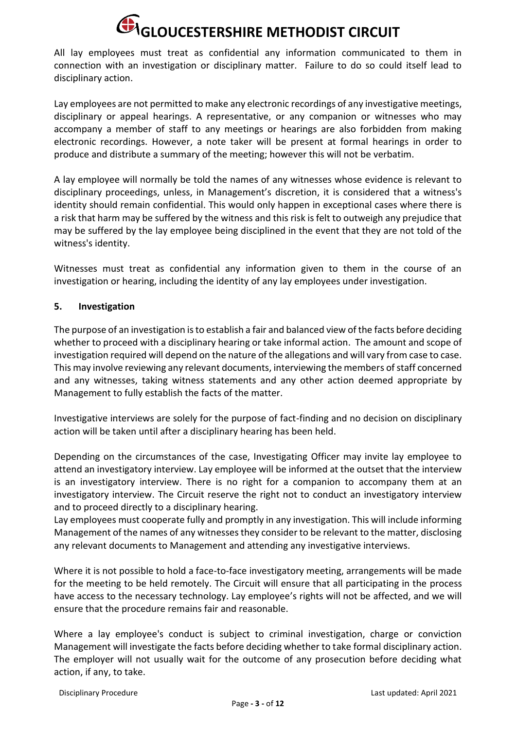All lay employees must treat as confidential any information communicated to them in connection with an investigation or disciplinary matter. Failure to do so could itself lead to disciplinary action.

Lay employees are not permitted to make any electronic recordings of any investigative meetings, disciplinary or appeal hearings. A representative, or any companion or witnesses who may accompany a member of staff to any meetings or hearings are also forbidden from making electronic recordings. However, a note taker will be present at formal hearings in order to produce and distribute a summary of the meeting; however this will not be verbatim.

A lay employee will normally be told the names of any witnesses whose evidence is relevant to disciplinary proceedings, unless, in Management's discretion, it is considered that a witness's identity should remain confidential. This would only happen in exceptional cases where there is a risk that harm may be suffered by the witness and this risk is felt to outweigh any prejudice that may be suffered by the lay employee being disciplined in the event that they are not told of the witness's identity.

Witnesses must treat as confidential any information given to them in the course of an investigation or hearing, including the identity of any lay employees under investigation.

#### **5. Investigation**

The purpose of an investigation is to establish a fair and balanced view of the facts before deciding whether to proceed with a disciplinary hearing or take informal action. The amount and scope of investigation required will depend on the nature of the allegations and will vary from case to case. This may involve reviewing any relevant documents, interviewing the members of staff concerned and any witnesses, taking witness statements and any other action deemed appropriate by Management to fully establish the facts of the matter.

Investigative interviews are solely for the purpose of fact-finding and no decision on disciplinary action will be taken until after a disciplinary hearing has been held.

Depending on the circumstances of the case, Investigating Officer may invite lay employee to attend an investigatory interview. Lay employee will be informed at the outset that the interview is an investigatory interview. There is no right for a companion to accompany them at an investigatory interview. The Circuit reserve the right not to conduct an investigatory interview and to proceed directly to a disciplinary hearing.

Lay employees must cooperate fully and promptly in any investigation. This will include informing Management of the names of any witnesses they consider to be relevant to the matter, disclosing any relevant documents to Management and attending any investigative interviews.

Where it is not possible to hold a face-to-face investigatory meeting, arrangements will be made for the meeting to be held remotely. The Circuit will ensure that all participating in the process have access to the necessary technology. Lay employee's rights will not be affected, and we will ensure that the procedure remains fair and reasonable.

Where a lay employee's conduct is subject to criminal investigation, charge or conviction Management will investigate the facts before deciding whether to take formal disciplinary action. The employer will not usually wait for the outcome of any prosecution before deciding what action, if any, to take.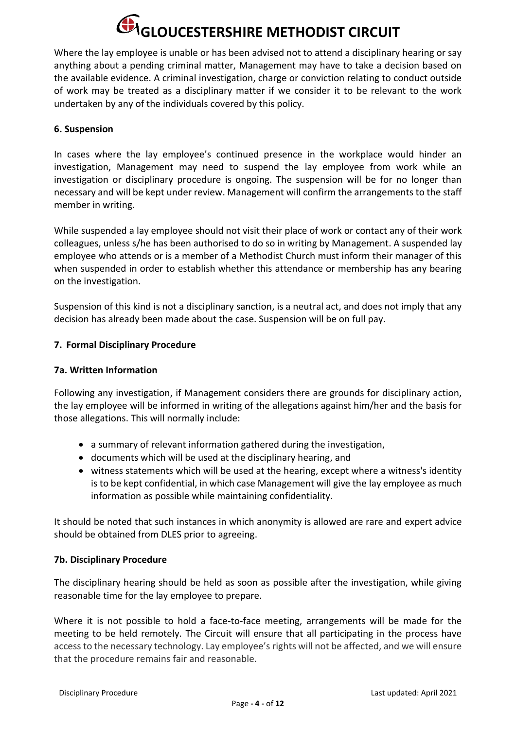Where the lay employee is unable or has been advised not to attend a disciplinary hearing or say anything about a pending criminal matter, Management may have to take a decision based on the available evidence. A criminal investigation, charge or conviction relating to conduct outside of work may be treated as a disciplinary matter if we consider it to be relevant to the work undertaken by any of the individuals covered by this policy.

#### **6. Suspension**

In cases where the lay employee's continued presence in the workplace would hinder an investigation, Management may need to suspend the lay employee from work while an investigation or disciplinary procedure is ongoing. The suspension will be for no longer than necessary and will be kept under review. Management will confirm the arrangements to the staff member in writing.

While suspended a lay employee should not visit their place of work or contact any of their work colleagues, unless s/he has been authorised to do so in writing by Management. A suspended lay employee who attends or is a member of a Methodist Church must inform their manager of this when suspended in order to establish whether this attendance or membership has any bearing on the investigation.

Suspension of this kind is not a disciplinary sanction, is a neutral act, and does not imply that any decision has already been made about the case. Suspension will be on full pay.

#### **7. Formal Disciplinary Procedure**

#### **7a. Written Information**

Following any investigation, if Management considers there are grounds for disciplinary action, the lay employee will be informed in writing of the allegations against him/her and the basis for those allegations. This will normally include:

- a summary of relevant information gathered during the investigation,
- documents which will be used at the disciplinary hearing, and
- witness statements which will be used at the hearing, except where a witness's identity is to be kept confidential, in which case Management will give the lay employee as much information as possible while maintaining confidentiality.

It should be noted that such instances in which anonymity is allowed are rare and expert advice should be obtained from DLES prior to agreeing.

#### **7b. Disciplinary Procedure**

The disciplinary hearing should be held as soon as possible after the investigation, while giving reasonable time for the lay employee to prepare.

Where it is not possible to hold a face-to-face meeting, arrangements will be made for the meeting to be held remotely. The Circuit will ensure that all participating in the process have access to the necessary technology. Lay employee's rights will not be affected, and we will ensure that the procedure remains fair and reasonable.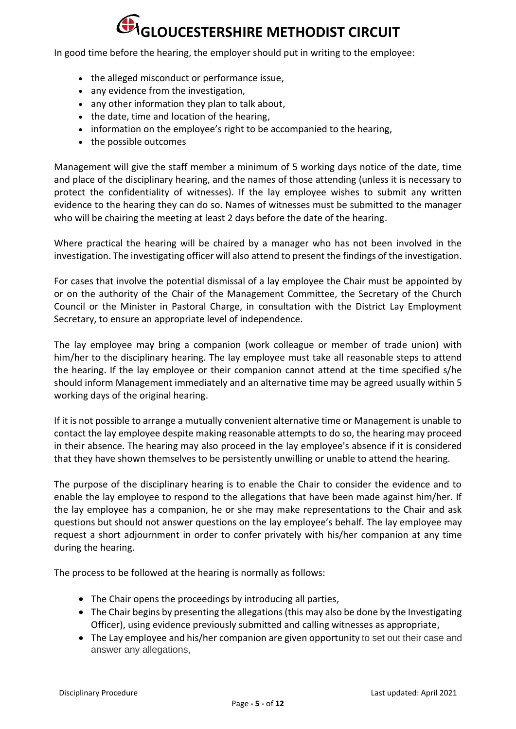In good time before the hearing, the employer should put in writing to the employee:

- the alleged misconduct or performance issue,
- any evidence from the investigation,
- any other information they plan to talk about,
- the date, time and location of the hearing,
- information on the employee's right to be accompanied to the hearing,
- the possible outcomes

Management will give the staff member a minimum of 5 working days notice of the date, time and place of the disciplinary hearing, and the names of those attending (unless it is necessary to protect the confidentiality of witnesses). If the lay employee wishes to submit any written evidence to the hearing they can do so. Names of witnesses must be submitted to the manager who will be chairing the meeting at least 2 days before the date of the hearing.

Where practical the hearing will be chaired by a manager who has not been involved in the investigation. The investigating officer will also attend to present the findings of the investigation.

For cases that involve the potential dismissal of a lay employee the Chair must be appointed by or on the authority of the Chair of the Management Committee, the Secretary of the Church Council or the Minister in Pastoral Charge, in consultation with the District Lay Employment Secretary, to ensure an appropriate level of independence.

The lay employee may bring a companion (work colleague or member of trade union) with him/her to the disciplinary hearing. The lay employee must take all reasonable steps to attend the hearing. If the lay employee or their companion cannot attend at the time specified s/he should inform Management immediately and an alternative time may be agreed usually within 5 working days of the original hearing.

If it is not possible to arrange a mutually convenient alternative time or Management is unable to contact the lay employee despite making reasonable attempts to do so, the hearing may proceed in their absence. The hearing may also proceed in the lay employee's absence if it is considered that they have shown themselves to be persistently unwilling or unable to attend the hearing.

The purpose of the disciplinary hearing is to enable the Chair to consider the evidence and to enable the lay employee to respond to the allegations that have been made against him/her. If the lay employee has a companion, he or she may make representations to the Chair and ask questions but should not answer questions on the lay employee's behalf. The lay employee may request a short adjournment in order to confer privately with his/her companion at any time during the hearing.

The process to be followed at the hearing is normally as follows:

- The Chair opens the proceedings by introducing all parties,
- The Chair begins by presenting the allegations (this may also be done by the Investigating Officer), using evidence previously submitted and calling witnesses as appropriate,
- The Lay employee and his/her companion are given opportunity to set out their case and answer any allegations,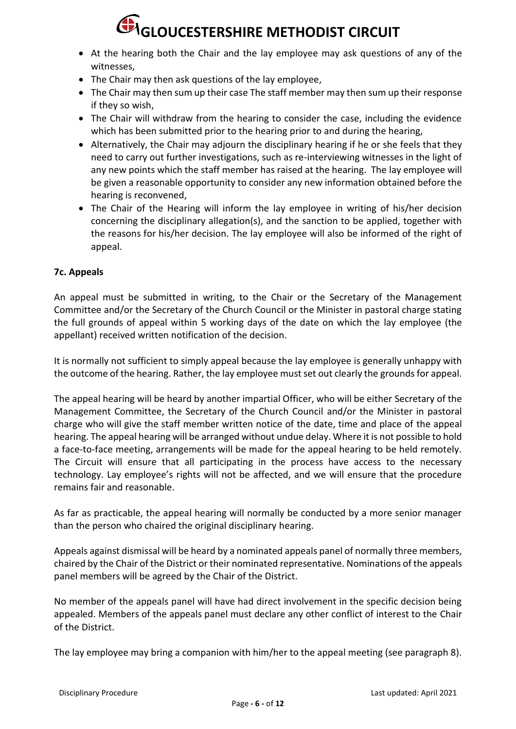- At the hearing both the Chair and the lay employee may ask questions of any of the witnesses,
- The Chair may then ask questions of the lay employee,
- The Chair may then sum up their case The staff member may then sum up their response if they so wish,
- The Chair will withdraw from the hearing to consider the case, including the evidence which has been submitted prior to the hearing prior to and during the hearing,
- Alternatively, the Chair may adjourn the disciplinary hearing if he or she feels that they need to carry out further investigations, such as re-interviewing witnesses in the light of any new points which the staff member has raised at the hearing. The lay employee will be given a reasonable opportunity to consider any new information obtained before the hearing is reconvened,
- The Chair of the Hearing will inform the lay employee in writing of his/her decision concerning the disciplinary allegation(s), and the sanction to be applied, together with the reasons for his/her decision. The lay employee will also be informed of the right of appeal.

#### **7c. Appeals**

An appeal must be submitted in writing, to the Chair or the Secretary of the Management Committee and/or the Secretary of the Church Council or the Minister in pastoral charge stating the full grounds of appeal within 5 working days of the date on which the lay employee (the appellant) received written notification of the decision.

It is normally not sufficient to simply appeal because the lay employee is generally unhappy with the outcome of the hearing. Rather, the lay employee must set out clearly the grounds for appeal.

The appeal hearing will be heard by another impartial Officer, who will be either Secretary of the Management Committee, the Secretary of the Church Council and/or the Minister in pastoral charge who will give the staff member written notice of the date, time and place of the appeal hearing. The appeal hearing will be arranged without undue delay. Where it is not possible to hold a face-to-face meeting, arrangements will be made for the appeal hearing to be held remotely. The Circuit will ensure that all participating in the process have access to the necessary technology. Lay employee's rights will not be affected, and we will ensure that the procedure remains fair and reasonable.

As far as practicable, the appeal hearing will normally be conducted by a more senior manager than the person who chaired the original disciplinary hearing.

Appeals against dismissal will be heard by a nominated appeals panel of normally three members, chaired by the Chair of the District or their nominated representative. Nominations of the appeals panel members will be agreed by the Chair of the District.

No member of the appeals panel will have had direct involvement in the specific decision being appealed. Members of the appeals panel must declare any other conflict of interest to the Chair of the District.

The lay employee may bring a companion with him/her to the appeal meeting (see paragraph 8).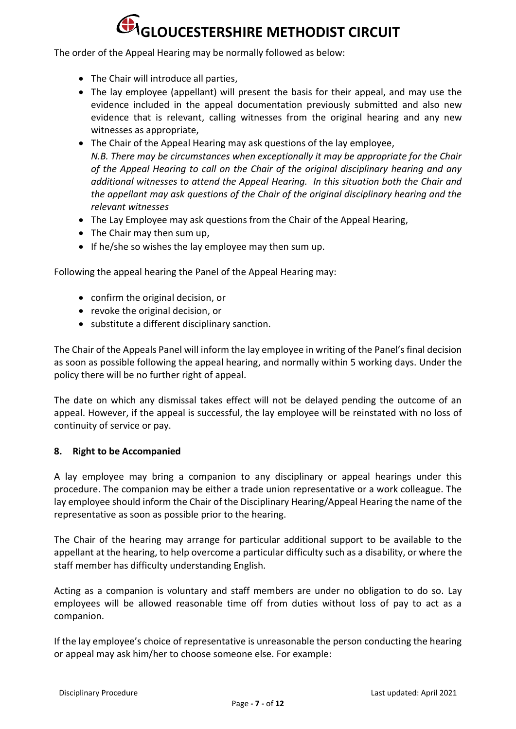The order of the Appeal Hearing may be normally followed as below:

- The Chair will introduce all parties,
- The lay employee (appellant) will present the basis for their appeal, and may use the evidence included in the appeal documentation previously submitted and also new evidence that is relevant, calling witnesses from the original hearing and any new witnesses as appropriate,
- The Chair of the Appeal Hearing may ask questions of the lay employee, *N.B. There may be circumstances when exceptionally it may be appropriate for the Chair of the Appeal Hearing to call on the Chair of the original disciplinary hearing and any additional witnesses to attend the Appeal Hearing. In this situation both the Chair and the appellant may ask questions of the Chair of the original disciplinary hearing and the relevant witnesses*
- The Lay Employee may ask questions from the Chair of the Appeal Hearing,
- The Chair may then sum up,
- If he/she so wishes the lay employee may then sum up.

Following the appeal hearing the Panel of the Appeal Hearing may:

- confirm the original decision, or
- revoke the original decision, or
- substitute a different disciplinary sanction.

The Chair of the Appeals Panel will inform the lay employee in writing of the Panel's final decision as soon as possible following the appeal hearing, and normally within 5 working days. Under the policy there will be no further right of appeal.

The date on which any dismissal takes effect will not be delayed pending the outcome of an appeal. However, if the appeal is successful, the lay employee will be reinstated with no loss of continuity of service or pay.

#### **8. Right to be Accompanied**

A lay employee may bring a companion to any disciplinary or appeal hearings under this procedure. The companion may be either a trade union representative or a work colleague. The lay employee should inform the Chair of the Disciplinary Hearing/Appeal Hearing the name of the representative as soon as possible prior to the hearing.

The Chair of the hearing may arrange for particular additional support to be available to the appellant at the hearing, to help overcome a particular difficulty such as a disability, or where the staff member has difficulty understanding English.

Acting as a companion is voluntary and staff members are under no obligation to do so. Lay employees will be allowed reasonable time off from duties without loss of pay to act as a companion.

If the lay employee's choice of representative is unreasonable the person conducting the hearing or appeal may ask him/her to choose someone else. For example: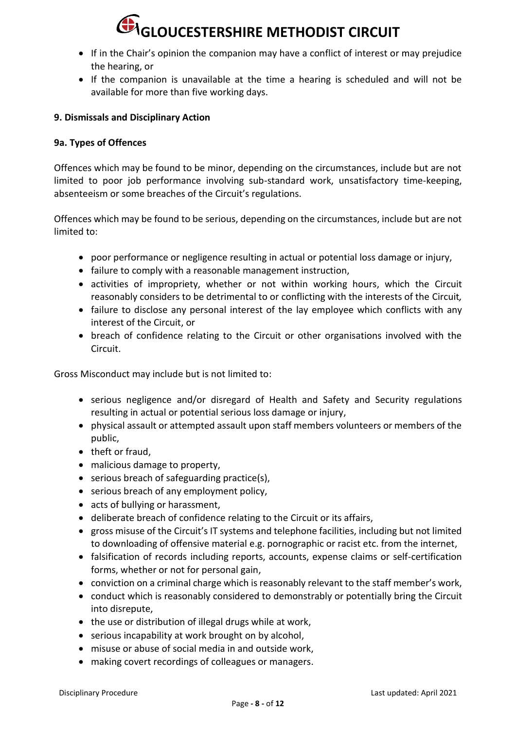- If in the Chair's opinion the companion may have a conflict of interest or may prejudice the hearing, or
- If the companion is unavailable at the time a hearing is scheduled and will not be available for more than five working days.

#### **9. Dismissals and Disciplinary Action**

#### **9a. Types of Offences**

Offences which may be found to be minor, depending on the circumstances, include but are not limited to poor job performance involving sub-standard work, unsatisfactory time-keeping, absenteeism or some breaches of the Circuit's regulations.

Offences which may be found to be serious, depending on the circumstances, include but are not limited to:

- poor performance or negligence resulting in actual or potential loss damage or injury,
- failure to comply with a reasonable management instruction,
- activities of impropriety, whether or not within working hours, which the Circuit reasonably considers to be detrimental to or conflicting with the interests of the Circuit*,*
- failure to disclose any personal interest of the lay employee which conflicts with any interest of the Circuit, or
- breach of confidence relating to the Circuit or other organisations involved with the Circuit.

Gross Misconduct may include but is not limited to:

- serious negligence and/or disregard of Health and Safety and Security regulations resulting in actual or potential serious loss damage or injury,
- physical assault or attempted assault upon staff members volunteers or members of the public,
- theft or fraud.
- malicious damage to property,
- serious breach of safeguarding practice(s),
- serious breach of any employment policy,
- acts of bullying or harassment,
- deliberate breach of confidence relating to the Circuit or its affairs,
- gross misuse of the Circuit's IT systems and telephone facilities, including but not limited to downloading of offensive material e.g. pornographic or racist etc. from the internet,
- falsification of records including reports, accounts, expense claims or self-certification forms, whether or not for personal gain,
- conviction on a criminal charge which is reasonably relevant to the staff member's work,
- conduct which is reasonably considered to demonstrably or potentially bring the Circuit into disrepute,
- the use or distribution of illegal drugs while at work,
- serious incapability at work brought on by alcohol,
- misuse or abuse of social media in and outside work,
- making covert recordings of colleagues or managers.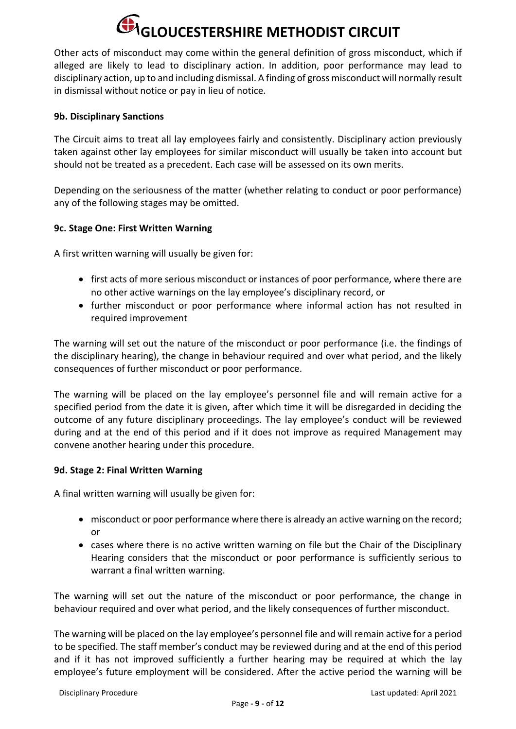Other acts of misconduct may come within the general definition of gross misconduct, which if alleged are likely to lead to disciplinary action. In addition, poor performance may lead to disciplinary action, up to and including dismissal. A finding of gross misconduct will normally result in dismissal without notice or pay in lieu of notice.

#### **9b. Disciplinary Sanctions**

The Circuit aims to treat all lay employees fairly and consistently. Disciplinary action previously taken against other lay employees for similar misconduct will usually be taken into account but should not be treated as a precedent. Each case will be assessed on its own merits.

Depending on the seriousness of the matter (whether relating to conduct or poor performance) any of the following stages may be omitted.

#### **9c. Stage One: First Written Warning**

A first written warning will usually be given for:

- first acts of more serious misconduct or instances of poor performance, where there are no other active warnings on the lay employee's disciplinary record, or
- further misconduct or poor performance where informal action has not resulted in required improvement

The warning will set out the nature of the misconduct or poor performance (i.e. the findings of the disciplinary hearing), the change in behaviour required and over what period, and the likely consequences of further misconduct or poor performance.

The warning will be placed on the lay employee's personnel file and will remain active for a specified period from the date it is given, after which time it will be disregarded in deciding the outcome of any future disciplinary proceedings. The lay employee's conduct will be reviewed during and at the end of this period and if it does not improve as required Management may convene another hearing under this procedure.

#### **9d. Stage 2: Final Written Warning**

A final written warning will usually be given for:

- misconduct or poor performance where there is already an active warning on the record; or
- cases where there is no active written warning on file but the Chair of the Disciplinary Hearing considers that the misconduct or poor performance is sufficiently serious to warrant a final written warning.

The warning will set out the nature of the misconduct or poor performance, the change in behaviour required and over what period, and the likely consequences of further misconduct.

The warning will be placed on the lay employee's personnel file and will remain active for a period to be specified. The staff member's conduct may be reviewed during and at the end of this period and if it has not improved sufficiently a further hearing may be required at which the lay employee's future employment will be considered. After the active period the warning will be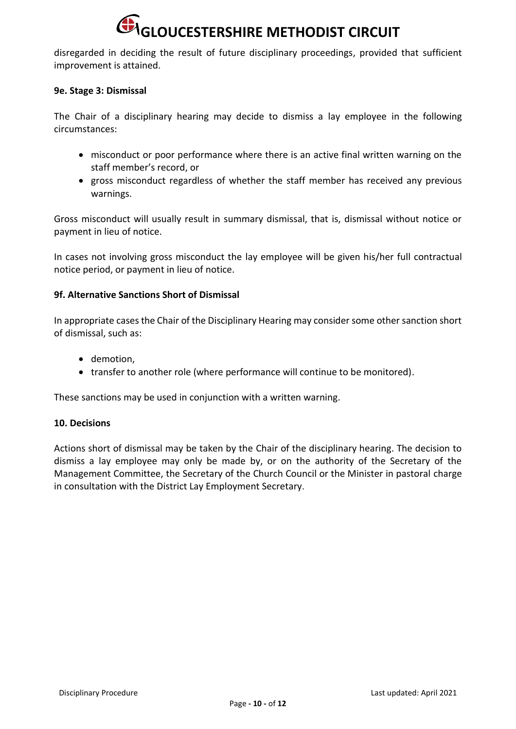disregarded in deciding the result of future disciplinary proceedings, provided that sufficient improvement is attained.

#### **9e. Stage 3: Dismissal**

The Chair of a disciplinary hearing may decide to dismiss a lay employee in the following circumstances:

- misconduct or poor performance where there is an active final written warning on the staff member's record, or
- gross misconduct regardless of whether the staff member has received any previous warnings.

Gross misconduct will usually result in summary dismissal, that is, dismissal without notice or payment in lieu of notice.

In cases not involving gross misconduct the lay employee will be given his/her full contractual notice period, or payment in lieu of notice.

#### **9f. Alternative Sanctions Short of Dismissal**

In appropriate cases the Chair of the Disciplinary Hearing may consider some other sanction short of dismissal, such as:

- demotion,
- transfer to another role (where performance will continue to be monitored).

These sanctions may be used in conjunction with a written warning.

#### **10. Decisions**

Actions short of dismissal may be taken by the Chair of the disciplinary hearing. The decision to dismiss a lay employee may only be made by, or on the authority of the Secretary of the Management Committee, the Secretary of the Church Council or the Minister in pastoral charge in consultation with the District Lay Employment Secretary.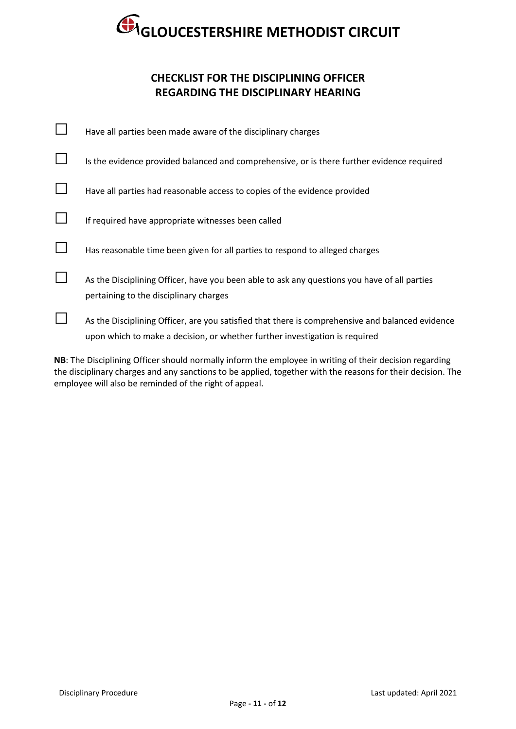### **CHECKLIST FOR THE DISCIPLINING OFFICER REGARDING THE DISCIPLINARY HEARING**

| Have all parties been made aware of the disciplinary charges                                                                                                                    |
|---------------------------------------------------------------------------------------------------------------------------------------------------------------------------------|
| Is the evidence provided balanced and comprehensive, or is there further evidence required                                                                                      |
| Have all parties had reasonable access to copies of the evidence provided                                                                                                       |
| If required have appropriate witnesses been called                                                                                                                              |
| Has reasonable time been given for all parties to respond to alleged charges                                                                                                    |
| As the Disciplining Officer, have you been able to ask any questions you have of all parties<br>pertaining to the disciplinary charges                                          |
| As the Disciplining Officer, are you satisfied that there is comprehensive and balanced evidence<br>upon which to make a decision, or whether further investigation is required |

**NB**: The Disciplining Officer should normally inform the employee in writing of their decision regarding the disciplinary charges and any sanctions to be applied, together with the reasons for their decision. The employee will also be reminded of the right of appeal.